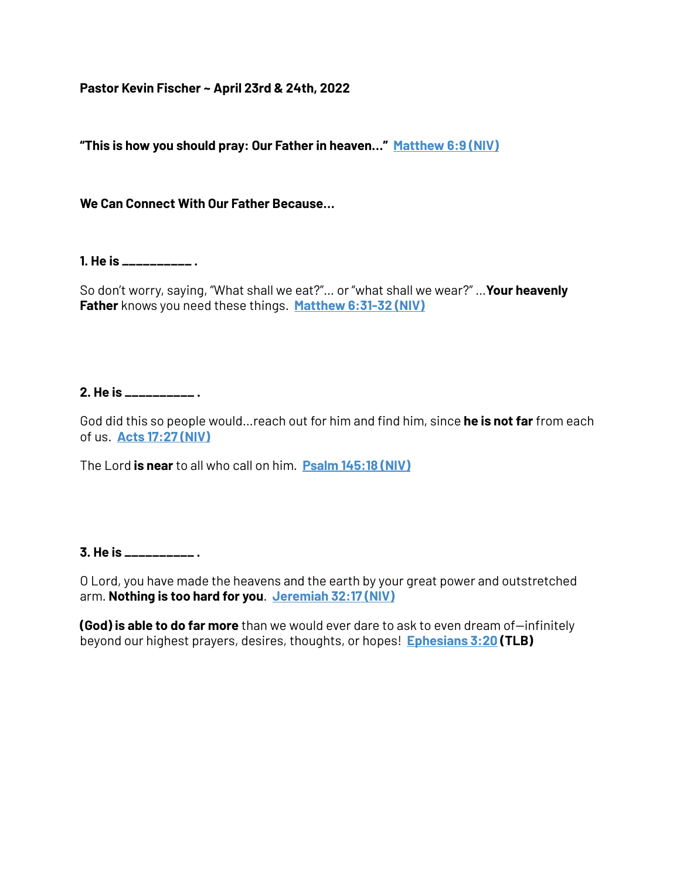**Pastor Kevin Fischer ~ April 23rd & 24th, 2022**

**"This is how you should pray: Our Father in heaven…" [Matthew 6:9 \(NIV\)](https://www.blueletterbible.org/search/preSearch.cfm?Criteria=Matthew+6.9&t=NIV)**

**We Can Connect With Our Father Because…**

**1. He is \_\_\_\_\_\_\_\_\_\_ .**

So don't worry, saying, "What shall we eat?"… or "what shall we wear?" …**Your heavenly Father** knows you need these things. **[Matthew 6:31-32 \(NIV\)](https://www.blueletterbible.org/search/preSearch.cfm?Criteria=Matthew+6.31-32&t=NIV)**

## **2. He is \_\_\_\_\_\_\_\_\_\_ .**

God did this so people would…reach out for him and find him, since **he is not far** from each of us. **[Acts 17:27 \(NIV\)](https://www.blueletterbible.org/search/preSearch.cfm?Criteria=Acts+17.27&t=NIV)**

The Lord **is near** to all who call on him. **[Psalm 145:18 \(NIV\)](https://www.blueletterbible.org/search/preSearch.cfm?Criteria=Psalm+145.18&t=NIV)**

**3. He is \_\_\_\_\_\_\_\_\_\_ .**

O Lord, you have made the heavens and the earth by your great power and outstretched arm. **Nothing is too hard for you**. **[Jeremiah 32:17 \(NIV\)](https://www.blueletterbible.org/search/preSearch.cfm?Criteria=Jeremiah+32.17&t=NIV)**

**(God) is able to do far more** than we would ever dare to ask to even dream of—infinitely beyond our highest prayers, desires, thoughts, or hopes! **[Ephesians 3:20](https://www.blueletterbible.org/search/preSearch.cfm?Criteria=Ephesians+3.20&t=NKJV) (TLB)**